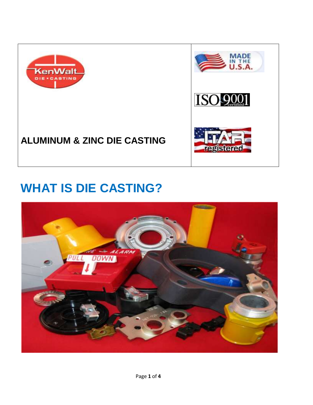



## **ALUMINUM & ZINC DIE CASTING**

# **WHAT IS DIE CASTING?**

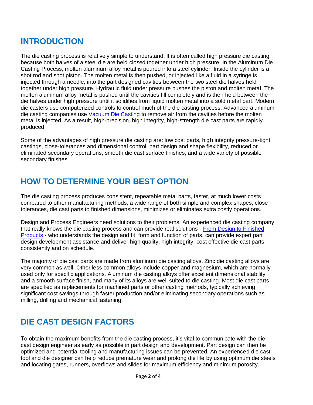#### **INTRODUCTION**

The die casting process is relatively simple to understand. It is often called high pressure die casting because both halves of a steel die are held closed together under high pressure. In the Aluminum Die Casting Process, molten aluminum alloy metal is poured into a steel cylinder. Inside the cylinder is a shot rod and shot piston. The molten metal is then pushed, or injected like a fluid in a syringe is injected through a needle, into the part designed cavities between the two steel die halves held together under high pressure. Hydraulic fluid under pressure pushes the piston and molten metal. The molten aluminum alloy metal is pushed until the cavities fill completely and is then held between the die halves under high pressure until it solidifies from liquid molten metal into a sold metal part. Modern die casters use computerized controls to control much of the die casting process. Advanced aluminum die casting companies use [Vacuum Die Casting](http://www.diecastingaluminum.com/casting-processes.html) to remove air from the cavities before the molten metal is injected. As a result, high-precision, high integrity, high-strength die cast parts are rapidly produced.

Some of the advantages of high pressure die casting are: low cost parts, high integrity pressure-tight castings, close-tolerances and dimensional control, part design and shape flexibility, reduced or eliminated secondary operations, smooth die cast surface finishes, and a wide variety of possible secondary finishes.

#### **HOW TO DETERMINE YOUR BEST OPTION**

The die casting process produces consistent, repeatable metal parts, faster, at much lower costs compared to other manufacturing methods, a wide range of both simple and complex shapes, close tolerances, die cast parts to finished dimensions, minimizes or eliminates extra costly operations.

Design and Process Engineers need solutions to their problems. An experienced die casting company that really knows the die casting process and can provide real solutions - [From Design to Finished](http://www.diecastingaluminum.com/casting-processes.html)  [Products](http://www.diecastingaluminum.com/casting-processes.html) - who understands the design and fit, form and function of parts, can provide expert part design development assistance and deliver high quality, high integrity, cost effective die cast parts consistently and on schedule.

The majority of die cast parts are made from aluminum die casting alloys. Zinc die casting alloys are very common as well. Other less common alloys include copper and magnesium, which are normally used only for specific applications. Aluminum die casting alloys offer excellent dimensional stability and a smooth surface finish, and many of its alloys are well suited to die casting. Most die cast parts are specified as replacements for machined parts or other casting methods, typically achieving significant cost savings through faster production and/or eliminating secondary operations such as milling, drilling and mechanical fastening.

#### **DIE CAST DESIGN FACTORS**

To obtain the maximum benefits from the die casting process, it's vital to communicate with the die cast design engineer as early as possible in part design and development. Part design can then be optimized and potential tooling and manufacturing issues can be prevented. An experienced die cast tool and die designer can help reduce premature wear and prolong die life by using optimum die steels and locating gates, runners, overflows and slides for maximum efficiency and minimum porosity.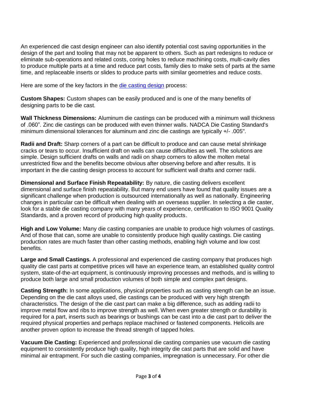An experienced die cast design engineer can also identify potential cost saving opportunities in the design of the part and tooling that may not be apparent to others. Such as part redesigns to reduce or eliminate sub-operations and related costs, coring holes to reduce machining costs, multi-cavity dies to produce multiple parts at a time and reduce part costs, family dies to make sets of parts at the same time, and replaceable inserts or slides to produce parts with similar geometries and reduce costs.

Here are some of the key factors in the [die casting design](http://www.diecastingaluminum.com/custom-castings.html) process:

**Custom Shapes:** Custom shapes can be easily produced and is one of the many benefits of designing parts to be die cast.

**Wall Thickness Dimensions:** Aluminum die castings can be produced with a minimum wall thickness of .060". Zinc die castings can be produced with even thinner walls. NADCA Die Casting Standard's minimum dimensional tolerances for aluminum and zinc die castings are typically +/- .005".

**Radii and Draft:** Sharp corners of a part can be difficult to produce and can cause metal shrinkage cracks or tears to occur. Insufficient draft on walls can cause difficulties as well. The solutions are simple. Design sufficient drafts on walls and radii on sharp corners to allow the molten metal unrestricted flow and the benefits become obvious after observing before and after results. It is important in the die casting design process to account for sufficient wall drafts and corner radii.

**Dimensional and Surface Finish Repeatability:** By nature, die casting delivers excellent dimensional and surface finish repeatability. But many end users have found that quality issues are a significant challenge when production is outsourced internationally as well as nationally. Engineering changes in particular can be difficult when dealing with an overseas supplier. In selecting a die caster, look for a stable die casting company with many years of experience, certification to ISO 9001 Quality Standards, and a proven record of producing high quality products.

**High and Low Volume:** Many die casting companies are unable to produce high volumes of castings. And of those that can, some are unable to consistently produce high quality castings. Die casting production rates are much faster than other casting methods, enabling high volume and low cost benefits.

**Large and Small Castings.** A professional and experienced die casting company that produces high quality die cast parts at competitive prices will have an experience team, an established quality control system, state-of-the-art equipment, is continuously improving processes and methods, and is willing to produce both large and small production volumes of both simple and complex part designs.

**Casting Strength:** In some applications, physical properties such as casting strength can be an issue. Depending on the die cast alloys used, die castings can be produced with very high strength characteristics. The design of the die cast part can make a big difference, such as adding radii to improve metal flow and ribs to improve strength as well. When even greater strength or durability is required for a part, inserts such as bearings or bushings can be cast into a die cast part to deliver the required physical properties and perhaps replace machined or fastened components. Helicoils are another proven option to increase the thread strength of tapped holes.

**Vacuum Die Casting:** Experienced and professional die casting companies use vacuum die casting equipment to consistently produce high quality, high integrity die cast parts that are solid and have minimal air entrapment. For such die casting companies, impregnation is unnecessary. For other die